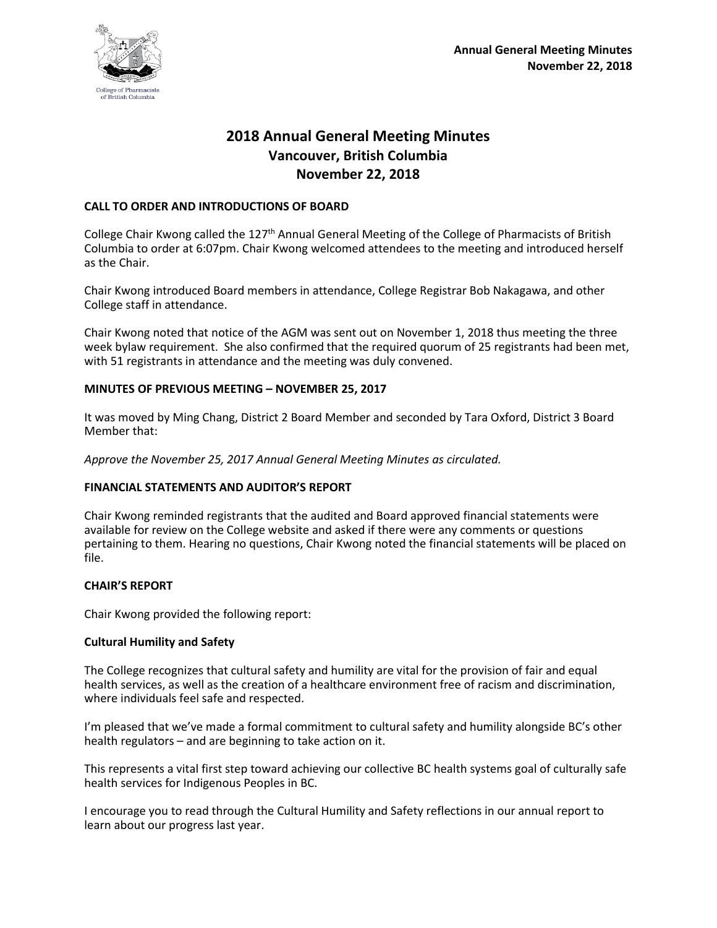

# **2018 Annual General Meeting Minutes Vancouver, British Columbia November 22, 2018**

## **CALL TO ORDER AND INTRODUCTIONS OF BOARD**

College Chair Kwong called the 127<sup>th</sup> Annual General Meeting of the College of Pharmacists of British Columbia to order at 6:07pm. Chair Kwong welcomed attendees to the meeting and introduced herself as the Chair.

Chair Kwong introduced Board members in attendance, College Registrar Bob Nakagawa, and other College staff in attendance.

Chair Kwong noted that notice of the AGM was sent out on November 1, 2018 thus meeting the three week bylaw requirement. She also confirmed that the required quorum of 25 registrants had been met, with 51 registrants in attendance and the meeting was duly convened.

## **MINUTES OF PREVIOUS MEETING – NOVEMBER 25, 2017**

It was moved by Ming Chang, District 2 Board Member and seconded by Tara Oxford, District 3 Board Member that:

*Approve the November 25, 2017 Annual General Meeting Minutes as circulated.*

## **FINANCIAL STATEMENTS AND AUDITOR'S REPORT**

Chair Kwong reminded registrants that the audited and Board approved financial statements were available for review on the College website and asked if there were any comments or questions pertaining to them. Hearing no questions, Chair Kwong noted the financial statements will be placed on file.

## **CHAIR'S REPORT**

Chair Kwong provided the following report:

## **Cultural Humility and Safety**

The College recognizes that cultural safety and humility are vital for the provision of fair and equal health services, as well as the creation of a healthcare environment free of racism and discrimination, where individuals feel safe and respected.

I'm pleased that we've made a formal commitment to cultural safety and humility alongside BC's other health regulators – and are beginning to take action on it.

This represents a vital first step toward achieving our collective BC health systems goal of culturally safe health services for Indigenous Peoples in BC.

I encourage you to read through the Cultural Humility and Safety reflections in our annual report to learn about our progress last year.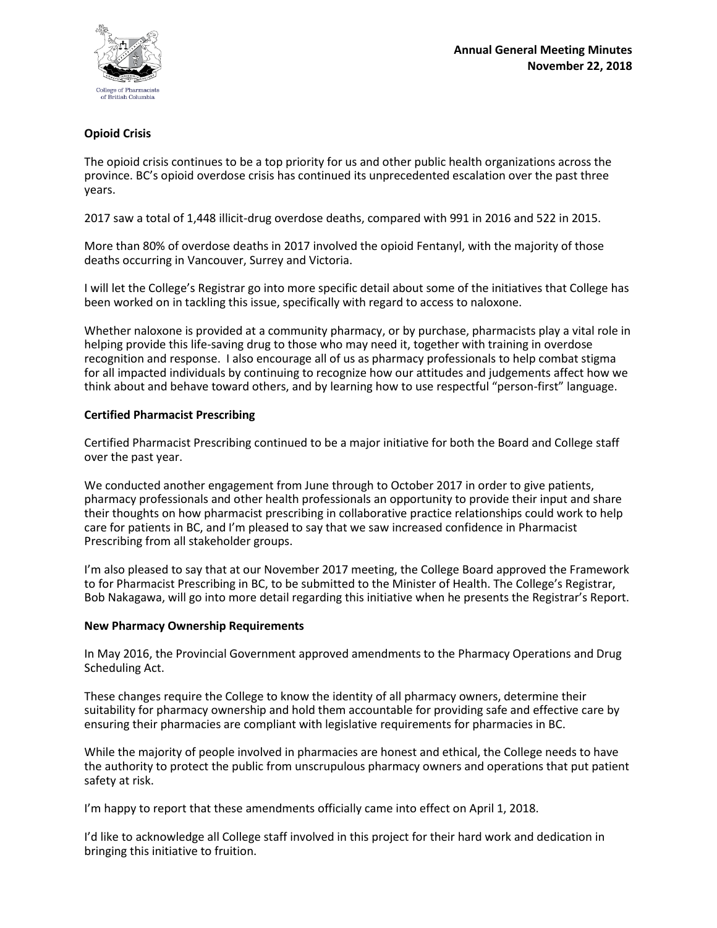

# **Opioid Crisis**

The opioid crisis continues to be a top priority for us and other public health organizations across the province. BC's opioid overdose crisis has continued its unprecedented escalation over the past three years.

2017 saw a total of 1,448 illicit-drug overdose deaths, compared with 991 in 2016 and 522 in 2015.

More than 80% of overdose deaths in 2017 involved the opioid Fentanyl, with the majority of those deaths occurring in Vancouver, Surrey and Victoria.

I will let the College's Registrar go into more specific detail about some of the initiatives that College has been worked on in tackling this issue, specifically with regard to access to naloxone.

Whether naloxone is provided at a community pharmacy, or by purchase, pharmacists play a vital role in helping provide this life-saving drug to those who may need it, together with training in overdose recognition and response. I also encourage all of us as pharmacy professionals to help combat stigma for all impacted individuals by continuing to recognize how our attitudes and judgements affect how we think about and behave toward others, and by learning how to use respectful "person-first" language.

## **Certified Pharmacist Prescribing**

Certified Pharmacist Prescribing continued to be a major initiative for both the Board and College staff over the past year.

We conducted another engagement from June through to October 2017 in order to give patients, pharmacy professionals and other health professionals an opportunity to provide their input and share their thoughts on how pharmacist prescribing in collaborative practice relationships could work to help care for patients in BC, and I'm pleased to say that we saw increased confidence in Pharmacist Prescribing from all stakeholder groups.

I'm also pleased to say that at our November 2017 meeting, the College Board approved the Framework to for Pharmacist Prescribing in BC, to be submitted to the Minister of Health. The College's Registrar, Bob Nakagawa, will go into more detail regarding this initiative when he presents the Registrar's Report.

#### **New Pharmacy Ownership Requirements**

In May 2016, the Provincial Government approved amendments to the Pharmacy Operations and Drug Scheduling Act.

These changes require the College to know the identity of all pharmacy owners, determine their suitability for pharmacy ownership and hold them accountable for providing safe and effective care by ensuring their pharmacies are compliant with legislative requirements for pharmacies in BC.

While the majority of people involved in pharmacies are honest and ethical, the College needs to have the authority to protect the public from unscrupulous pharmacy owners and operations that put patient safety at risk.

I'm happy to report that these amendments officially came into effect on April 1, 2018.

I'd like to acknowledge all College staff involved in this project for their hard work and dedication in bringing this initiative to fruition.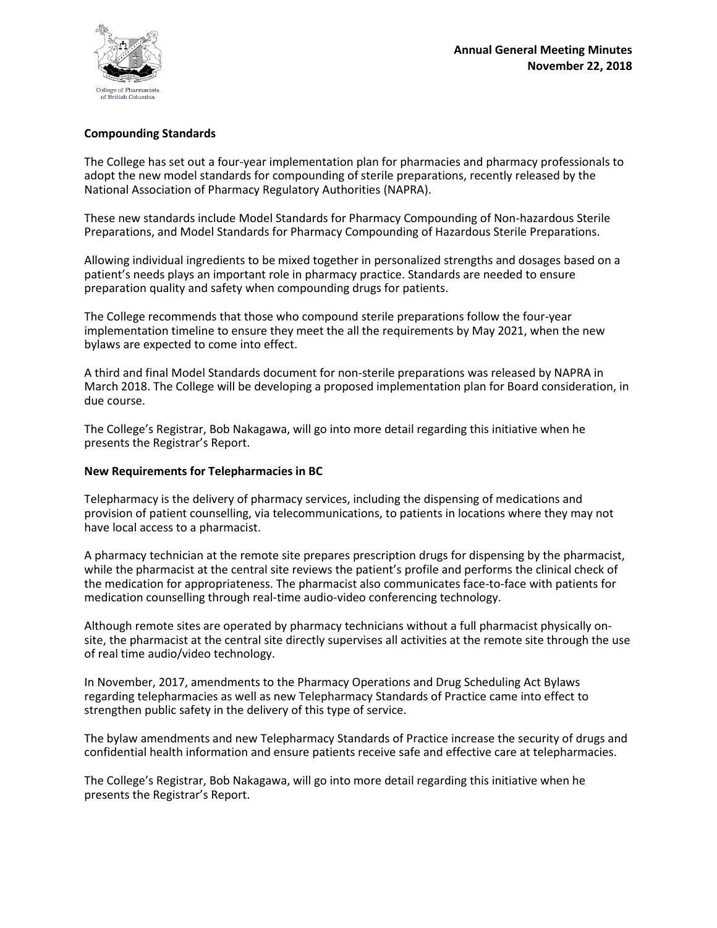

## **Compounding Standards**

The College has set out a four-year implementation plan for pharmacies and pharmacy professionals to adopt the new model standards for compounding of sterile preparations, recently released by the National Association of Pharmacy Regulatory Authorities (NAPRA).

These new standards include Model Standards for Pharmacy Compounding of Non-hazardous Sterile Preparations, and Model Standards for Pharmacy Compounding of Hazardous Sterile Preparations.

Allowing individual ingredients to be mixed together in personalized strengths and dosages based on a patient's needs plays an important role in pharmacy practice. Standards are needed to ensure preparation quality and safety when compounding drugs for patients.

The College recommends that those who compound sterile preparations follow the four-year implementation timeline to ensure they meet the all the requirements by May 2021, when the new bylaws are expected to come into effect.

A third and final Model Standards document for non-sterile preparations was released by NAPRA in March 2018. The College will be developing a proposed implementation plan for Board consideration, in due course.

The College's Registrar, Bob Nakagawa, will go into more detail regarding this initiative when he presents the Registrar's Report.

## **New Requirements for Telepharmacies in BC**

Telepharmacy is the delivery of pharmacy services, including the dispensing of medications and provision of patient counselling, via telecommunications, to patients in locations where they may not have local access to a pharmacist.

A pharmacy technician at the remote site prepares prescription drugs for dispensing by the pharmacist, while the pharmacist at the central site reviews the patient's profile and performs the clinical check of the medication for appropriateness. The pharmacist also communicates face-to-face with patients for medication counselling through real-time audio-video conferencing technology.

Although remote sites are operated by pharmacy technicians without a full pharmacist physically onsite, the pharmacist at the central site directly supervises all activities at the remote site through the use of real time audio/video technology.

In November, 2017, amendments to the Pharmacy Operations and Drug Scheduling Act Bylaws regarding telepharmacies as well as new Telepharmacy Standards of Practice came into effect to strengthen public safety in the delivery of this type of service.

The bylaw amendments and new Telepharmacy Standards of Practice increase the security of drugs and confidential health information and ensure patients receive safe and effective care at telepharmacies.

The College's Registrar, Bob Nakagawa, will go into more detail regarding this initiative when he presents the Registrar's Report.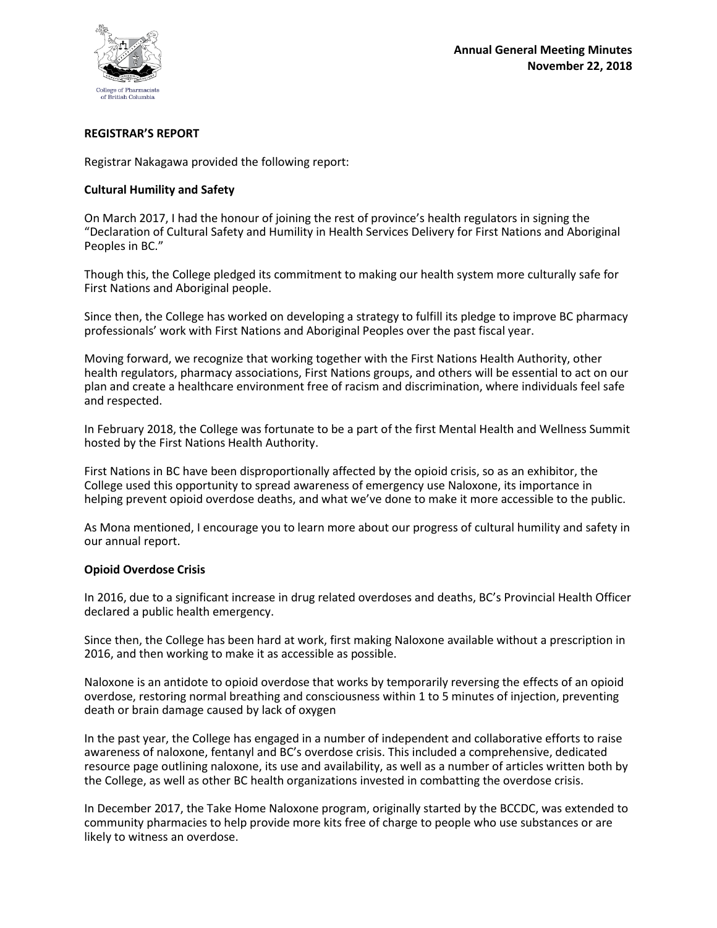

## **REGISTRAR'S REPORT**

Registrar Nakagawa provided the following report:

## **Cultural Humility and Safety**

On March 2017, I had the honour of joining the rest of province's health regulators in signing the "Declaration of Cultural Safety and Humility in Health Services Delivery for First Nations and Aboriginal Peoples in BC."

Though this, the College pledged its commitment to making our health system more culturally safe for First Nations and Aboriginal people.

Since then, the College has worked on developing a strategy to fulfill its pledge to improve BC pharmacy professionals' work with First Nations and Aboriginal Peoples over the past fiscal year.

Moving forward, we recognize that working together with the First Nations Health Authority, other health regulators, pharmacy associations, First Nations groups, and others will be essential to act on our plan and create a healthcare environment free of racism and discrimination, where individuals feel safe and respected.

In February 2018, the College was fortunate to be a part of the first Mental Health and Wellness Summit hosted by the First Nations Health Authority.

First Nations in BC have been disproportionally affected by the opioid crisis, so as an exhibitor, the College used this opportunity to spread awareness of emergency use Naloxone, its importance in helping prevent opioid overdose deaths, and what we've done to make it more accessible to the public.

As Mona mentioned, I encourage you to learn more about our progress of cultural humility and safety in our annual report.

## **Opioid Overdose Crisis**

In 2016, due to a significant increase in drug related overdoses and deaths, BC's Provincial Health Officer declared a public health emergency.

Since then, the College has been hard at work, first making Naloxone available without a prescription in 2016, and then working to make it as accessible as possible.

Naloxone is an antidote to opioid overdose that works by temporarily reversing the effects of an opioid overdose, restoring normal breathing and consciousness within 1 to 5 minutes of injection, preventing death or brain damage caused by lack of oxygen

In the past year, the College has engaged in a number of independent and collaborative efforts to raise awareness of naloxone, fentanyl and BC's overdose crisis. This included a comprehensive, dedicated resource page outlining naloxone, its use and availability, as well as a number of articles written both by the College, as well as other BC health organizations invested in combatting the overdose crisis.

In December 2017, the Take Home Naloxone program, originally started by the BCCDC, was extended to community pharmacies to help provide more kits free of charge to people who use substances or are likely to witness an overdose.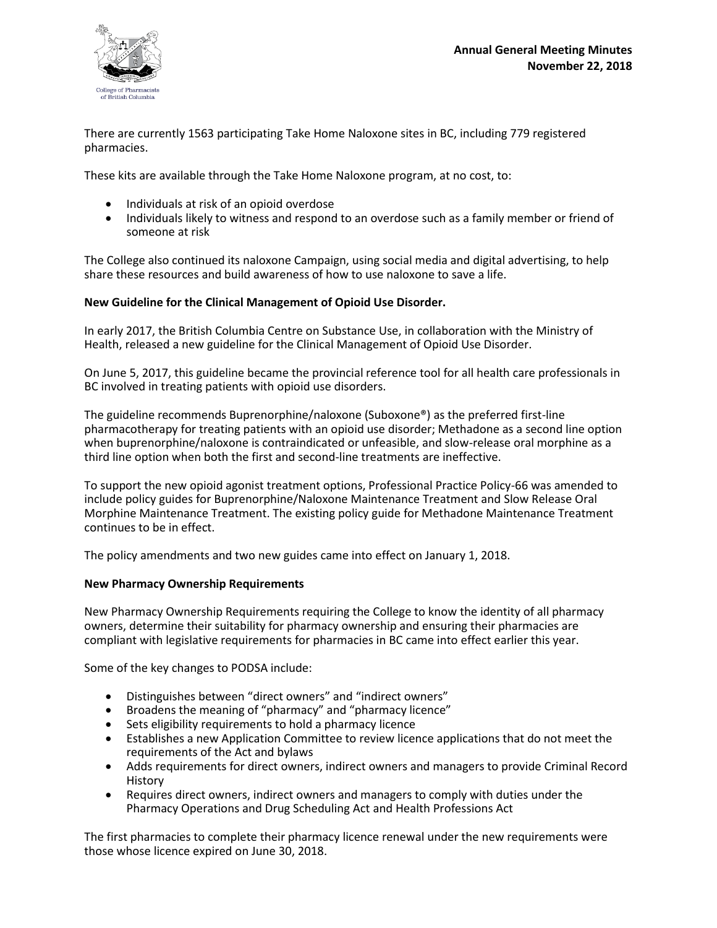

There are currently 1563 participating Take Home Naloxone sites in BC, including 779 registered pharmacies.

These kits are available through the Take Home Naloxone program, at no cost, to:

- Individuals at risk of an opioid overdose
- Individuals likely to witness and respond to an overdose such as a family member or friend of someone at risk

The College also continued its naloxone Campaign, using social media and digital advertising, to help share these resources and build awareness of how to use naloxone to save a life.

## **New Guideline for the Clinical Management of Opioid Use Disorder.**

In early 2017, the British Columbia Centre on Substance Use, in collaboration with the Ministry of Health, released a new guideline for the Clinical Management of Opioid Use Disorder.

On June 5, 2017, this guideline became the provincial reference tool for all health care professionals in BC involved in treating patients with opioid use disorders.

The guideline recommends Buprenorphine/naloxone (Suboxone®) as the preferred first-line pharmacotherapy for treating patients with an opioid use disorder; Methadone as a second line option when buprenorphine/naloxone is contraindicated or unfeasible, and slow-release oral morphine as a third line option when both the first and second-line treatments are ineffective.

To support the new opioid agonist treatment options, Professional Practice Policy-66 was amended to include policy guides for Buprenorphine/Naloxone Maintenance Treatment and Slow Release Oral Morphine Maintenance Treatment. The existing policy guide for Methadone Maintenance Treatment continues to be in effect.

The policy amendments and two new guides came into effect on January 1, 2018.

## **New Pharmacy Ownership Requirements**

New Pharmacy Ownership Requirements requiring the College to know the identity of all pharmacy owners, determine their suitability for pharmacy ownership and ensuring their pharmacies are compliant with legislative requirements for pharmacies in BC came into effect earlier this year.

Some of the key changes to PODSA include:

- Distinguishes between "direct owners" and "indirect owners"
- Broadens the meaning of "pharmacy" and "pharmacy licence"
- Sets eligibility requirements to hold a pharmacy licence
- Establishes a new Application Committee to review licence applications that do not meet the requirements of the Act and bylaws
- Adds requirements for direct owners, indirect owners and managers to provide Criminal Record History
- Requires direct owners, indirect owners and managers to comply with duties under the Pharmacy Operations and Drug Scheduling Act and Health Professions Act

The first pharmacies to complete their pharmacy licence renewal under the new requirements were those whose licence expired on June 30, 2018.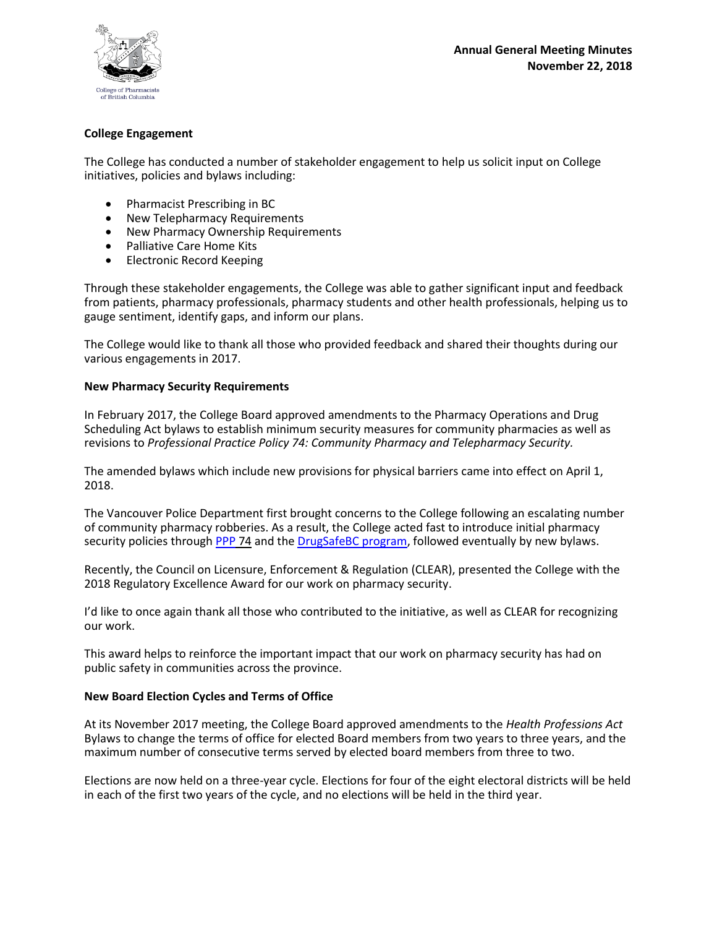

## **College Engagement**

The College has conducted a number of stakeholder engagement to help us solicit input on College initiatives, policies and bylaws including:

- Pharmacist Prescribing in BC
- New Telepharmacy Requirements
- New Pharmacy Ownership Requirements
- Palliative Care Home Kits
- Electronic Record Keeping

Through these stakeholder engagements, the College was able to gather significant input and feedback from patients, pharmacy professionals, pharmacy students and other health professionals, helping us to gauge sentiment, identify gaps, and inform our plans.

The College would like to thank all those who provided feedback and shared their thoughts during our various engagements in 2017.

## **New Pharmacy Security Requirements**

In February 2017, the College Board approved amendments to the Pharmacy Operations and Drug Scheduling Act bylaws to establish minimum security measures for community pharmacies as well as revisions to *Professional Practice Policy 74: Community Pharmacy and Telepharmacy Security.*

The amended bylaws which include new provisions for physical barriers came into effect on April 1, 2018.

The Vancouver Police Department first brought concerns to the College following an escalating number of community pharmacy robberies. As a result, the College acted fast to introduce initial pharmacy security policies through [PPP](http://bcpharmacists.org/library/6_Resources/6-2_PPP/5003-PGP-PPP74.pdf) 74 and the [DrugSafeBC](http://www.bcpharmacists.org/drugsafebc) program, followed eventually by new bylaws.

Recently, the Council on Licensure, Enforcement & Regulation (CLEAR), presented the College with the 2018 Regulatory Excellence Award for our work on pharmacy security.

I'd like to once again thank all those who contributed to the initiative, as well as CLEAR for recognizing our work.

This award helps to reinforce the important impact that our work on pharmacy security has had on public safety in communities across the province.

## **New Board Election Cycles and Terms of Office**

At its November 2017 meeting, the College Board approved amendments to the *Health Professions Act* Bylaws to change the terms of office for elected Board members from two years to three years, and the maximum number of consecutive terms served by elected board members from three to two.

Elections are now held on a three-year cycle. Elections for four of the eight electoral districts will be held in each of the first two years of the cycle, and no elections will be held in the third year.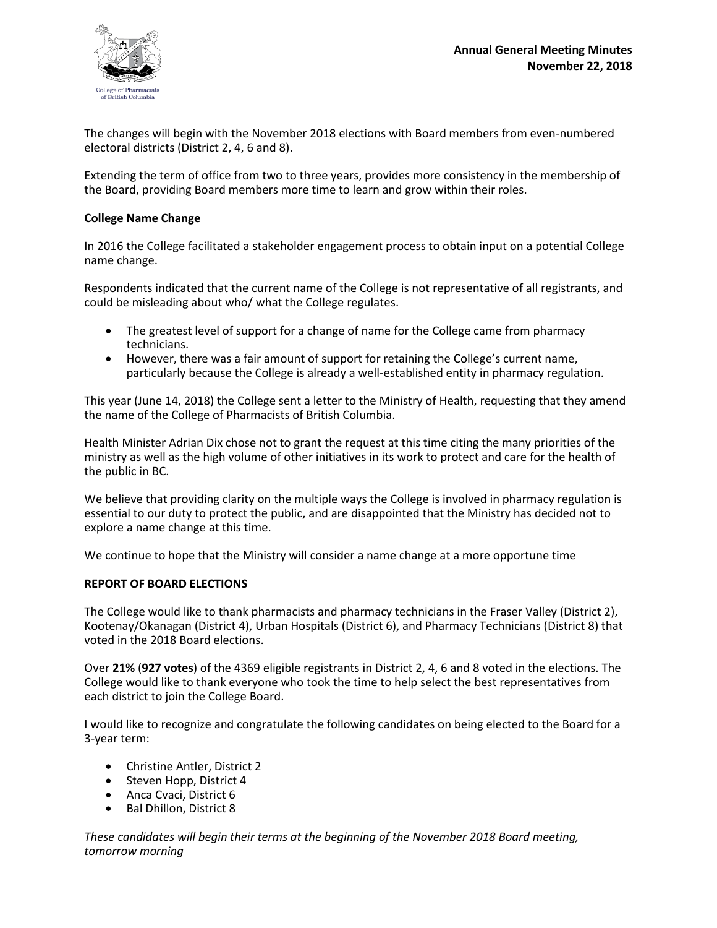

The changes will begin with the November 2018 elections with Board members from even-numbered electoral districts (District 2, 4, 6 and 8).

Extending the term of office from two to three years, provides more consistency in the membership of the Board, providing Board members more time to learn and grow within their roles.

#### **College Name Change**

In 2016 the College facilitated a stakeholder engagement process to obtain input on a potential College name change.

Respondents indicated that the current name of the College is not representative of all registrants, and could be misleading about who/ what the College regulates.

- The greatest level of support for a change of name for the College came from pharmacy technicians.
- However, there was a fair amount of support for retaining the College's current name, particularly because the College is already a well-established entity in pharmacy regulation.

This year (June 14, 2018) the College sent a letter to the Ministry of Health, requesting that they amend the name of the College of Pharmacists of British Columbia.

Health Minister Adrian Dix chose not to grant the request at this time citing the many priorities of the ministry as well as the high volume of other initiatives in its work to protect and care for the health of the public in BC.

We believe that providing clarity on the multiple ways the College is involved in pharmacy regulation is essential to our duty to protect the public, and are disappointed that the Ministry has decided not to explore a name change at this time.

We continue to hope that the Ministry will consider a name change at a more opportune time

#### **REPORT OF BOARD ELECTIONS**

The College would like to thank pharmacists and pharmacy technicians in the Fraser Valley (District 2), Kootenay/Okanagan (District 4), Urban Hospitals (District 6), and Pharmacy Technicians (District 8) that voted in the 2018 Board elections.

Over **21%** (**927 votes**) of the 4369 eligible registrants in District 2, 4, 6 and 8 voted in the elections. The College would like to thank everyone who took the time to help select the best representatives from each district to join the College Board.

I would like to recognize and congratulate the following candidates on being elected to the Board for a 3-year term:

- Christine Antler, District 2
- Steven Hopp, District 4
- Anca Cvaci, District 6
- Bal Dhillon, District 8

*These candidates will begin their terms at the beginning of the November 2018 Board meeting, tomorrow morning*